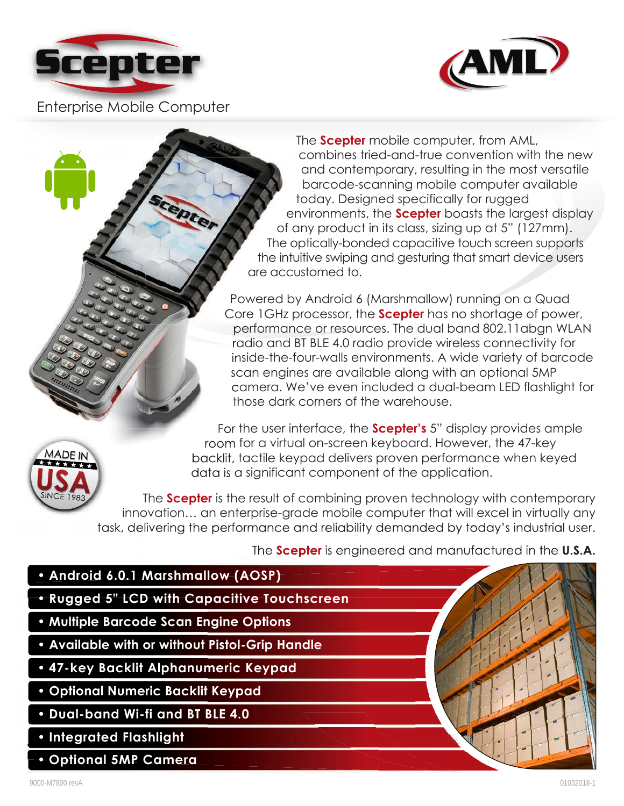



Enterprise Mobile Computer

The **Scepter** mobile computer, from AML, combines tried-and-true convention with the new and contemporary, resulting in the most versatile barcode-scanning mobile computer available today. Designed specifically for rugged environments, the **Scepter** boasts the largest display of any product in its class, sizing up at 5" (127mm). The optically-bonded capacitive touch screen supports the intuitive swiping and gesturing that smart device users are accustomed to.

Powered by Android 6 (Marshmallow) running on a Quad Core 1GHz processor, the **Scepter** has no shortage of power, performance or resources. The dual band 802.11abgn WLAN radio and BT BLE 4.0 radio provide wireless connectivity for inside-the-four-walls environments. A wide variety of barcode scan engines are available along with an optional 5MP camera. We've even included a dual-beam LED flashlight for those dark corners of the warehouse.



For the user interface, the **Scepter's** 5" display provides ample room for a virtual on-screen keyboard. However, the 47-key backlit, tactile keypad delivers proven performance when keyed data is a significant component of the application.

The **Scepter** is the result of combining proven technology with contemporary innovation… an enterprise-grade mobile computer that will excel in virtually any task, delivering the performance and reliability demanded by today's industrial user.

The **Scepter** is engineered and manufactured in the **U.S.A.**